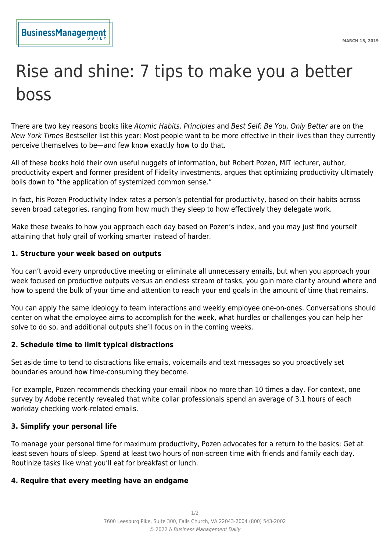# Rise and shine: 7 tips to make you a better boss

There are two key reasons books like Atomic Habits, Principles and Best Self: Be You, Only Better are on the New York Times Bestseller list this year: Most people want to be more effective in their lives than they currently perceive themselves to be—and few know exactly how to do that.

All of these books hold their own useful nuggets of information, but Robert Pozen, MIT lecturer, author, productivity expert and former president of Fidelity investments, argues that optimizing productivity ultimately boils down to "the application of systemized common sense."

In fact, his Pozen Productivity Index rates a person's potential for productivity, based on their habits across seven broad categories, ranging from how much they sleep to how effectively they delegate work.

Make these tweaks to how you approach each day based on Pozen's index, and you may just find yourself attaining that holy grail of working smarter instead of harder.

## **1. Structure your week based on outputs**

You can't avoid every unproductive meeting or eliminate all unnecessary emails, but when you approach your week focused on productive outputs versus an endless stream of tasks, you gain more clarity around where and how to spend the bulk of your time and attention to reach your end goals in the amount of time that remains.

You can apply the same ideology to team interactions and weekly employee one-on-ones. Conversations should center on what the employee aims to accomplish for the week, what hurdles or challenges you can help her solve to do so, and additional outputs she'll focus on in the coming weeks.

#### **2. Schedule time to limit typical distractions**

Set aside time to tend to distractions like emails, voicemails and text messages so you proactively set boundaries around how time-consuming they become.

For example, Pozen recommends checking your email inbox no more than 10 times a day. For context, one survey by Adobe recently revealed that white collar professionals spend an average of 3.1 hours of each workday checking work-related emails.

#### **3. Simplify your personal life**

To manage your personal time for maximum productivity, Pozen advocates for a return to the basics: Get at least seven hours of sleep. Spend at least two hours of non-screen time with friends and family each day. Routinize tasks like what you'll eat for breakfast or lunch.

#### **4. Require that every meeting have an endgame**